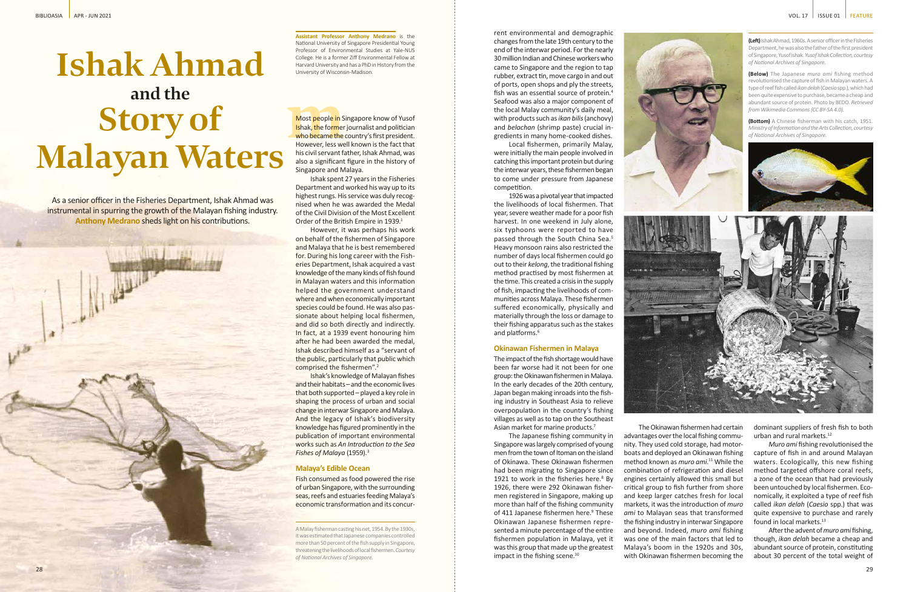**Assistant Professor Anthony Medrano** is the National University of Singapore Presidential Young Professor of Environmental Studies at Yale-NUS College. He is a former Ziff Environmental Fellow at Harvard University and has a PhD in History from the University of Wisconsin-Madison.

**Most people in S**<br> **Ishak, the former**<br> **who became the**<br> **However, less we<br>
his civil servant fr** Most people in Singapore know of Yusof Ishak, the former journalist and politician who became the country's first president. However, less well known is the fact that his civil servant father, Ishak Ahmad, was also a significant figure in the history of Singapore and Malaya.

Ishak spent 27 years in the Fisheries Department and worked his way up to its highest rungs. His service was duly recognised when he was awarded the Medal of the Civil Division of the Most Excellent Order of the British Empire in 1939.<sup>1</sup>

As a senior officer in the Fisheries Department, Ishak Ahmad was instrumental in spurring the growth of the Malayan fishing industry. **Anthony Medrano** sheds light on his contributions.

> However, it was perhaps his work on behalf of the fishermen of Singapore and Malaya that he is best remembered for. During his long career with the Fisheries Department, Ishak acquired a vast knowledge of the many kinds of fish found in Malayan waters and this information helped the government understand where and when economically important species could be found. He was also passionate about helping local fishermen. and did so both directly and indirectly. In fact, at a 1939 event honouring him after he had been awarded the medal, Ishak described himself as a "servant of the public, particularly that public which comprised the fishermen".<sup>2</sup>

1926 was a pivotal year that impacted the livelihoods of local fishermen. That year, severe weather made for a poor fish harvest. In one weekend in July alone, six typhoons were reported to have passed through the South China Sea.<sup>5</sup> Heavy monsoon rains also restricted the number of days local fishermen could go out to their *kelong*, the traditional fishing method practised by most fishermen at the time. This created a crisis in the supply of fish, impacting the livelihoods of communities across Malaya. These fishermen suffered economically, physically and materially through the loss or damage to their fishing apparatus such as the stakes and platforms.<sup>6</sup>

The impact of the fish shortage would have been far worse had it not been for one group: the Okinawan fishermen in Malaya. In the early decades of the 20th century, Japan began making inroads into the fishing industry in Southeast Asia to relieve overpopulation in the country's fishing villages as well as to tap on the Southeast Asian market for marine products.<sup>7</sup>

Ishak's knowledge of Malayan fishes and their habitats – and the economic lives that both supported – played a key role in shaping the process of urban and social change in interwar Singapore and Malaya. And the legacy of Ishak's biodiversity knowledge has figured prominently in the publication of important environmental works such as *An Introduction to the Sea Fishes of Malaya* (1959).3

The Japanese fishing community in Singapore was largely comprised of young men from the town of Itoman on the island of Okinawa. These Okinawan fishermen had been migrating to Singapore since 1921 to work in the fisheries here. $8$  By 1926, there were 292 Okinawan fishermen registered in Singapore, making up more than half of the fishing community of 411 Japanese fishermen here.<sup>9</sup> These Okinawan Japanese fishermen represented a minute percentage of the entire fishermen population in Malaya, yet it was this group that made up the greatest impact in the fishing scene.<sup>10</sup>

## **Malaya's Edible Ocean**

Fish consumed as food powered the rise of urban Singapore, with the surrounding seas, reefs and estuaries feeding Malaya's economic transformation and its concur-

rent environmental and demographic changes from the late 19th century to the end of the interwar period. For the nearly 30 million Indian and Chinese workers who came to Singapore and the region to tap rubber, extract tin, move cargo in and out of ports, open shops and ply the streets, fish was an essential source of protein.4 Seafood was also a major component of the local Malay community's daily meal, with products such as *ikan bilis* (anchovy) and *belachan* (shrimp paste) crucial ingredients in many home-cooked dishes.

> dominant suppliers of fresh fish to both urban and rural markets.<sup>12</sup>

> *Muro ami* fishing revolutionised the capture of fish in and around Malayan waters. Ecologically, this new fishing method targeted offshore coral reefs, a zone of the ocean that had previously been untouched by local fishermen. Economically, it exploited a type of reef fish called *ikan delah* (*Caesio* spp.) that was quite expensive to purchase and rarely found in local markets.<sup>13</sup>

Local fishermen, primarily Malay, were initially the main people involved in catching this important protein but during the interwar years, these fishermen began to come under pressure from Japanese competition.

# **and the Ishak Ahmad Malayan Waters Story of**

## **Okinawan Fishermen in Malaya**

The Okinawan fishermen had certain advantages over the local fishing community. They used cold storage, had motorboats and deployed an Okinawan fishing method known as *muro ami*. <sup>11</sup> While the combination of refrigeration and diesel engines certainly allowed this small but critical group to fish further from shore and keep larger catches fresh for local markets, it was the introduction of *muro ami* to Malayan seas that transformed the fishing industry in interwar Singapore and beyond. Indeed, *muro ami* fishing was one of the main factors that led to Malaya's boom in the 1920s and 30s, with Okinawan fishermen becoming the

After the advent of *muro ami* fishing, though, *ikan delah* became a cheap and abundant source of protein, constituting about 30 percent of the total weight of

**(Left)** Ishak Ahmad, 1960s. A senior officer in the Fisheries Department, he was also the father of the first president of Singapore, Yusof Ishak. *Yusof Ishak Collection, courtesy of National Archives of Singapore.*

**(Below)** The Japanese *muro ami* fishing method revolutionised the capture of fish in Malayan waters. A type of reef fish called *ikan delah* (*Caesio* spp.), which had been quite expensive to purchase, became a cheap and abundant source of protein. Photo by BEDO. *Retrieved from Wikimedia Commons (CC BY-SA 4.0).*

**(Bottom)** A Chinese fisherman with his catch, 1951. *Ministry of Information and the Arts Collection, courtesy of National Archives of Singapore.*





A Malay fisherman casting his net, 1954. By the 1930s, it was estimated that Japanese companies controlled more than 50 percent of the fish supply in Singapore, threatening the livelihoods of local fishermen. *Courtesy of National Archives of Singapore.*

## BIBLIOASIA APR - JUN 2021 VOL. 17 | ISSUE 01 | FEATURE

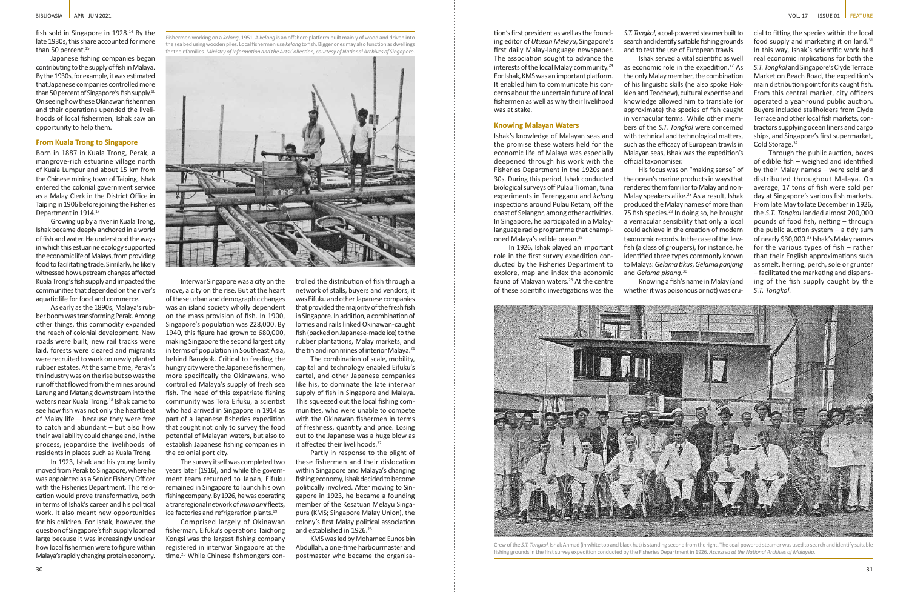fish sold in Singapore in 1928.14 By the late 1930s, this share accounted for more than 50 percent.<sup>15</sup>

Japanese fishing companies began contributing to the supply of fish in Malaya. By the 1930s, for example, it was estimated that Japanese companies controlled more than 50 percent of Singapore's fish supply.16 On seeing how these Okinawan fishermen and their operations upended the livelihoods of local fishermen, Ishak saw an opportunity to help them.

#### **From Kuala Trong to Singapore**

Born in 1887 in Kuala Trong, Perak, a mangrove-rich estuarine village north of Kuala Lumpur and about 15 km from the Chinese mining town of Taiping, Ishak entered the colonial government service as a Malay Clerk in the District Office in Taiping in 1906 before joining the Fisheries Department in 1914.17

Growing up by a river in Kuala Trong, Ishak became deeply anchored in a world of fish and water. He understood the ways in which this estuarine ecology supported the economic life of Malays, from providing food to facilitating trade. Similarly, he likely witnessed how upstream changes affected Kuala Trong's fish supply and impacted the communities that depended on the river's aquatic life for food and commerce.

As early as the 1890s, Malaya's rubber boom was transforming Perak. Among other things, this commodity expanded the reach of colonial development. New roads were built, new rail tracks were laid, forests were cleared and migrants were recruited to work on newly planted rubber estates. At the same time, Perak's tin industry was on the rise but so was the runoff that flowed from the mines around Larung and Matang downstream into the waters near Kuala Trong.<sup>18</sup> Ishak came to see how fish was not only the heartbeat of Malay life – because they were free to catch and abundant – but also how their availability could change and, in the process, jeopardise the livelihoods of residents in places such as Kuala Trong.

trolled the distribution of fish through a network of stalls, buyers and vendors, it was Eifuku and other Japanese companies that provided the majority of the fresh fish in Singapore. In addition, a combination of lorries and rails linked Okinawan-caught fish (packed on Japanese-made ice) to the rubber plantations, Malay markets, and the tin and iron mines of interior Malaya.<sup>21</sup>

The combination of scale, mobility, capital and technology enabled Eifuku's cartel, and other Japanese companies like his, to dominate the late interwar supply of fish in Singapore and Malaya. This squeezed out the local fishing communities, who were unable to compete with the Okinawan fishermen in terms of freshness, quantity and price. Losing out to the Japanese was a huge blow as it affected their livelihoods.<sup>22</sup>

In 1923, Ishak and his young family moved from Perak to Singapore, where he was appointed as a Senior Fishery Officer with the Fisheries Department. This relocation would prove transformative, both in terms of Ishak's career and his political work. It also meant new opportunities for his children. For Ishak, however, the question of Singapore's fish supply loomed large because it was increasingly unclear how local fishermen were to figure within Malaya's rapidly changing protein economy.

Partly in response to the plight of these fishermen and their dislocation within Singapore and Malaya's changing fishing economy, Ishak decided to become politically involved. After moving to Singapore in 1923, he became a founding member of the Kesatuan Melayu Singapura (KMS; Singapore Malay Union), the colony's first Malay political association and established in 1926.<sup>23</sup>

Interwar Singapore was a city on the move, a city on the rise. But at the heart of these urban and demographic changes was an island society wholly dependent on the mass provision of fish. In 1900, Singapore's population was 228,000. By 1940, this figure had grown to 680,000, making Singapore the second largest city in terms of population in Southeast Asia, behind Bangkok. Critical to feeding the hungry city were the Japanese fishermen, more specifically the Okinawans, who controlled Malaya's supply of fresh sea fish. The head of this expatriate fishing community was Tora Eifuku, a scientist who had arrived in Singapore in 1914 as part of a Japanese fisheries expedition that sought not only to survey the food potential of Malayan waters, but also to establish Japanese fishing companies in the colonial port city.

The survey itself was completed two years later (1916), and while the government team returned to Japan, Eifuku remained in Singapore to launch his own fishing company. By 1926, he was operating a transregional network of *muro ami* fleets, ice factories and refrigeration plants.19

Comprised largely of Okinawan fisherman, Eifuku's operations Taichong Kongsi was the largest fishing company registered in interwar Singapore at the time.20 While Chinese fishmongers con-

cial to fitting the species within the local food supply and marketing it on land.<sup>31</sup> In this way, Ishak's scientific work had real economic implications for both the *S.T. Tongkol* and Singapore's Clyde Terrace Market on Beach Road, the expedition's main distribution point for its caught fish. From this central market, city officers operated a year-round public auction. Buyers included stallholders from Clyde Terrace and other local fish markets, contractors supplying ocean liners and cargo ships, and Singapore's first supermarket, Cold Storage.<sup>32</sup>

KMS was led by Mohamed Eunos bin Abdullah, a one-time harbourmaster and postmaster who became the organisa-

Fishermen working on a *kelong*, 1951. A *kelong* is an offshore platform built mainly of wood and driven into the sea bed using wooden piles. Local fishermen use *kelong* to fish. Bigger ones may also function as dwellings for their families. *Ministry of Information and the Arts Collection, courtesy of National Archives of Singapore.*





Crew of the *S.T. Tongkol.* Ishak Ahmad (in white top and black hat) is standing second from the right. The coal-powered steamer was used to search and identify suitable fishing grounds in the first survey expedition conducted by the Fisheries Department in 1926. *Accessed at the National Archives of Malaysia.*

tion's first president as well as the founding editor of *Utusan Melayu*, Singapore's first daily Malay-language newspaper. The association sought to advance the interests of the local Malay community.24 For Ishak, KMS was an important platform. It enabled him to communicate his concerns about the uncertain future of local fishermen as well as why their livelihood was at stake.

### **Knowing Malayan Waters**

Ishak's knowledge of Malayan seas and the promise these waters held for the economic life of Malaya was especially deepened through his work with the Fisheries Department in the 1920s and 30s. During this period, Ishak conducted biological surveys off Pulau Tioman, tuna experiments in Terengganu and *kelong* inspections around Pulau Ketam, off the coast of Selangor, among other activities. In Singapore, he participated in a Malaylanguage radio programme that championed Malaya's edible ocean.25

In 1926, Ishak played an important role in the first survey expedition conducted by the Fisheries Department to explore, map and index the economic fauna of Malayan waters.<sup>26</sup> At the centre of these scientific investigations was the



*S.T. Tongkol*, a coal-powered steamer built to search and identify suitable fishing grounds and to test the use of European trawls.

Ishak served a vital scientific as well as economic role in the expedition.<sup>27</sup> As the only Malay member, the combination of his linguistic skills (he also spoke Hokkien and Teochew), cultural expertise and knowledge allowed him to translate (or approximate) the species of fish caught in vernacular terms. While other members of the *S.T. Tongkol* were concerned with technical and technological matters, such as the efficacy of European trawls in Malayan seas, Ishak was the expedition's official taxonomiser.

His focus was on "making sense" of the ocean's marine products in ways that rendered them familiar to Malay and non-Malay speakers alike.28 As a result, Ishak produced the Malay names of more than 75 fish species.<sup>29</sup> In doing so, he brought a vernacular sensibility that only a local could achieve in the creation of modern taxonomic records. In the case of the Jewfish (a class of groupers), for instance, he identified three types commonly known to Malays: *Gelama tikus*, *Gelama panjang* and *Gelama pisang*. 30

Knowing a fish's name in Malay (and whether it was poisonous or not) was cru-

Through the public auction, boxes of edible fish – weighed and identified by their Malay names – were sold and distributed throughout Malaya. On average, 17 tons of fish were sold per day at Singapore's various fish markets. From late May to late December in 1926, the *S.T. Tongkol* landed almost 200,000 pounds of food fish, netting – through the public auction system – a tidy sum of nearly \$30,000.<sup>33</sup> Ishak's Malay names for the various types of fish – rather than their English approximations such as smelt, herring, perch, sole or grunter – facilitated the marketing and dispensing of the fish supply caught by the *S.T. Tongkol*.